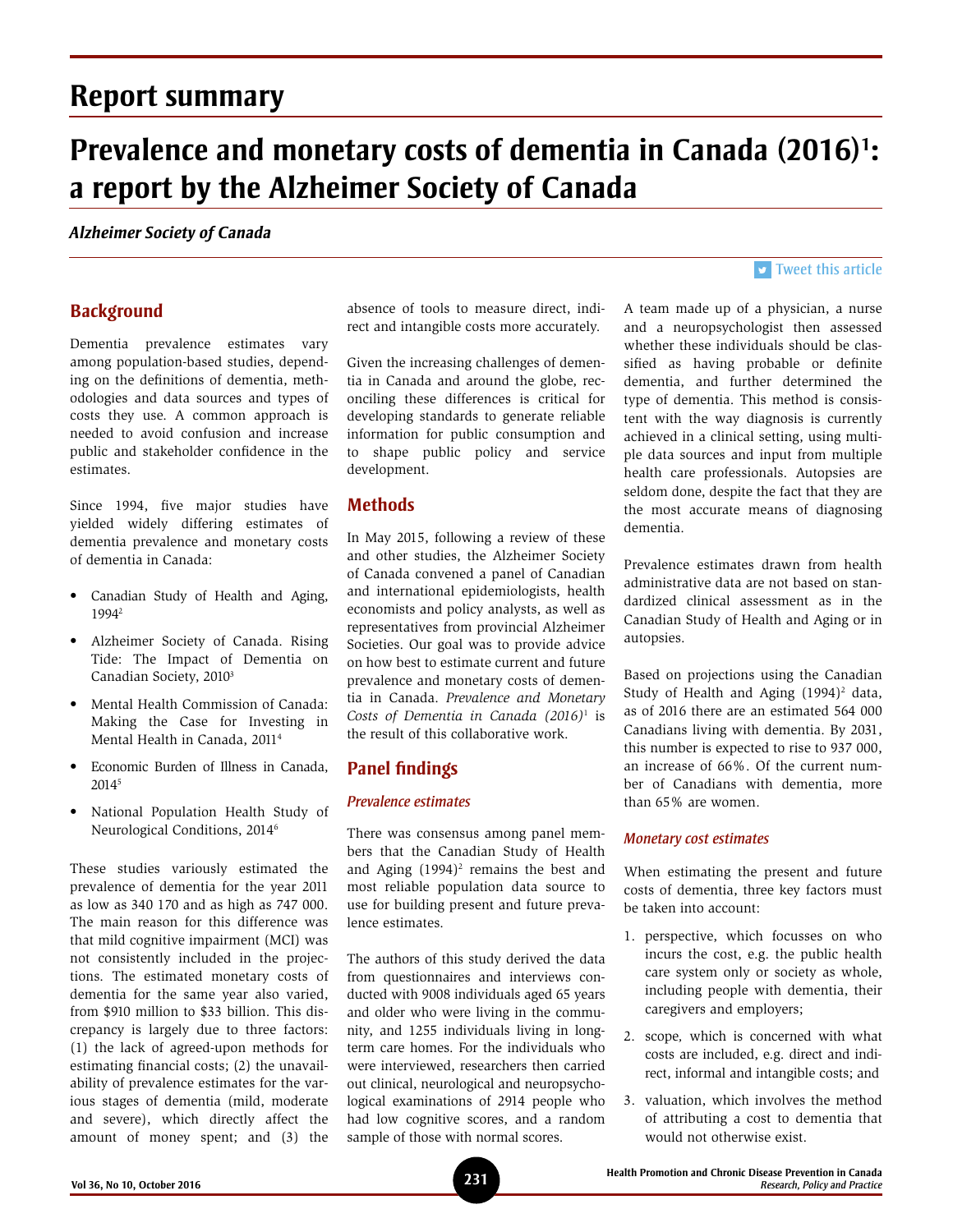## **Report summary**

# Prevalence and monetary costs of dementia in Canada (2016)<sup>1</sup>: **a report by the Alzheimer Society of Canada**

#### *Alzheimer Society of Canada*

## **Background**

Dementia prevalence estimates vary among population-based studies, depending on the definitions of dementia, methodologies and data sources and types of costs they use. A common approach is needed to avoid confusion and increase public and stakeholder confidence in the estimates.

Since 1994, five major studies have yielded widely differing estimates of dementia prevalence and monetary costs of dementia in Canada:

- Canadian Study of Health and Aging, 19942
- Alzheimer Society of Canada. Rising Tide: The Impact of Dementia on Canadian Society, 20103
- Mental Health Commission of Canada: Making the Case for Investing in Mental Health in Canada, 20114
- Economic Burden of Illness in Canada, 20145
- National Population Health Study of Neurological Conditions, 20146

These studies variously estimated the prevalence of dementia for the year 2011 as low as 340 170 and as high as 747 000. The main reason for this difference was that mild cognitive impairment (MCI) was not consistently included in the projections. The estimated monetary costs of dementia for the same year also varied, from \$910 million to \$33 billion. This discrepancy is largely due to three factors: (1) the lack of agreed-upon methods for estimating financial costs; (2) the unavailability of prevalence estimates for the various stages of dementia (mild, moderate and severe), which directly affect the amount of money spent; and (3) the

absence of tools to measure direct, indirect and intangible costs more accurately.

Given the increasing challenges of dementia in Canada and around the globe, reconciling these differences is critical for developing standards to generate reliable information for public consumption and to shape public policy and service development.

## **Methods**

In May 2015, following a review of these and other studies, the Alzheimer Society of Canada convened a panel of Canadian and international epidemiologists, health economists and policy analysts, as well as representatives from provincial Alzheimer Societies. Our goal was to provide advice on how best to estimate current and future prevalence and monetary costs of dementia in Canada. *Prevalence and Monetary Costs of Dementia in Canada (2016)*<sup>1</sup> is the result of this collaborative work.

## **Panel findings**

#### *Prevalence estimates*

There was consensus among panel members that the Canadian Study of Health and Aging  $(1994)^2$  remains the best and most reliable population data source to use for building present and future prevalence estimates.

The authors of this study derived the data from questionnaires and interviews conducted with 9008 individuals aged 65 years and older who were living in the community, and 1255 individuals living in longterm care homes. For the individuals who were interviewed, researchers then carried out clinical, neurological and neuropsychological examinations of 2914 people who had low cognitive scores, and a random sample of those with normal scores.

## $\triangleright$  [Tweet this article](http://twitter.com/share?text=%23HPCDP Journal – Prevalence and monetary costs of %23dementia in Canada: a report by the %23AlzheimerSociety of Canada&url=http://www.phac-aspc.gc.ca/publicat/hpcdp-pspmc/36-10/ar-04-eng.php)

A team made up of a physician, a nurse and a neuropsychologist then assessed whether these individuals should be classified as having probable or definite dementia, and further determined the type of dementia. This method is consistent with the way diagnosis is currently achieved in a clinical setting, using multiple data sources and input from multiple health care professionals. Autopsies are seldom done, despite the fact that they are the most accurate means of diagnosing dementia.

Prevalence estimates drawn from health administrative data are not based on standardized clinical assessment as in the Canadian Study of Health and Aging or in autopsies.

Based on projections using the Canadian Study of Health and Aging (1994)<sup>2</sup> data, as of 2016 there are an estimated 564 000 Canadians living with dementia. By 2031, this number is expected to rise to 937 000, an increase of 66%. Of the current number of Canadians with dementia, more than 65% are women.

#### *Monetary cost estimates*

When estimating the present and future costs of dementia, three key factors must be taken into account:

- 1. perspective, which focusses on who incurs the cost, e.g. the public health care system only or society as whole, including people with dementia, their caregivers and employers;
- 2. scope*,* which is concerned with what costs are included, e.g. direct and indirect, informal and intangible costs; and
- 3. valuation, which involves the method of attributing a cost to dementia that would not otherwise exist.